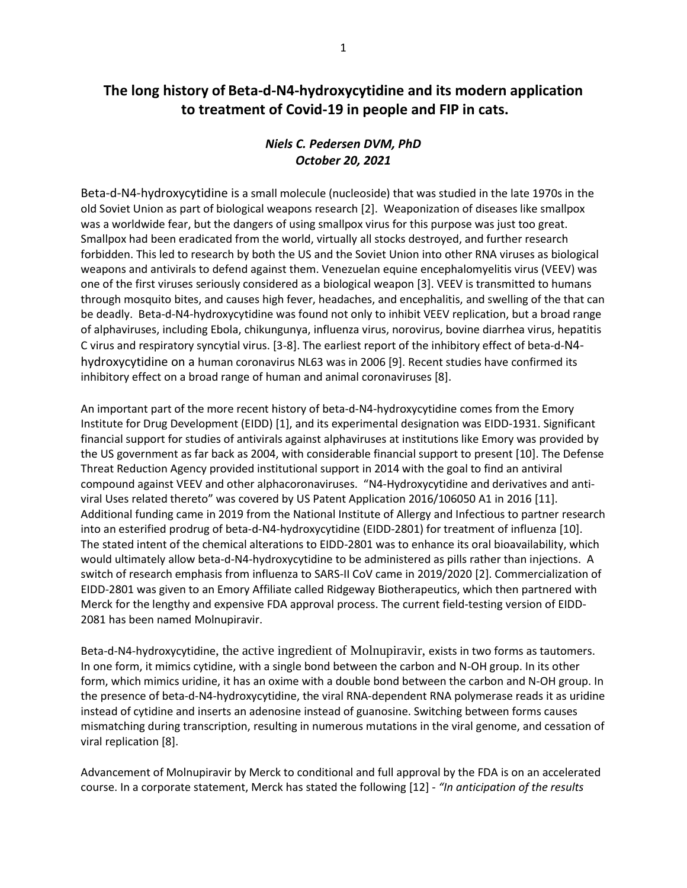## **The long history of Beta-d-N4-hydroxycytidine and its modern application to treatment of Covid-19 in people and FIP in cats.**

## *Niels C. Pedersen DVM, PhD October 20, 2021*

Beta-d-N4-hydroxycytidine is a small molecule (nucleoside) that was studied in the late 1970s in the old Soviet Union as part of biological weapons research [2]. Weaponization of diseases like smallpox was a worldwide fear, but the dangers of using smallpox virus for this purpose was just too great. Smallpox had been eradicated from the world, virtually all stocks destroyed, and further research forbidden. This led to research by both the US and the Soviet Union into other RNA viruses as biological weapons and antivirals to defend against them. Venezuelan equine encephalomyelitis virus (VEEV) was one of the first viruses seriously considered as a biological weapon [3]. VEEV is transmitted to humans through mosquito bites, and causes high fever, headaches, and encephalitis, and swelling of the that can be deadly. Beta-d-N4-hydroxycytidine was found not only to inhibit VEEV replication, but a broad range of alphaviruses, including Ebola, chikungunya, influenza virus, norovirus, bovine diarrhea virus, hepatitis C virus and respiratory syncytial virus. [3-8]. The earliest report of the inhibitory effect of beta-d-N4 hydroxycytidine on a human coronavirus NL63 was in 2006 [9]. Recent studies have confirmed its inhibitory effect on a broad range of human and animal coronaviruses [8].

An important part of the more recent history of beta-d-N4-hydroxycytidine comes from the Emory Institute for Drug Development (EIDD) [1], and its experimental designation was EIDD-1931. Significant financial support for studies of antivirals against alphaviruses at institutions like Emory was provided by the US government as far back as 2004, with considerable financial support to present [10]. The Defense Threat Reduction Agency provided institutional support in 2014 with the goal to find an antiviral compound against VEEV and other alphacoronaviruses. "N4-Hydroxycytidine and derivatives and antiviral Uses related thereto" was covered by US Patent Application 2016/106050 A1 in 2016 [11]. Additional funding came in 2019 from the National Institute of Allergy and Infectious to partner research into an esterified prodrug of beta-d-N4-hydroxycytidine (EIDD-2801) for treatment of influenza [10]. The stated intent of the chemical alterations to EIDD-2801 was to enhance its oral bioavailability, which would ultimately allow beta-d-N4-hydroxycytidine to be administered as pills rather than injections. A switch of research emphasis from influenza to SARS-II CoV came in 2019/2020 [2]. Commercialization of EIDD-2801 was given to an Emory Affiliate called Ridgeway Biotherapeutics, which then partnered with Merck for the lengthy and expensive FDA approval process. The current field-testing version of EIDD-2081 has been named Molnupiravir.

Beta-d-N4-hydroxycytidine, the active ingredient of Molnupiravir, exists in two forms as tautomers. In one form, it mimics cytidine, with a single bond between the carbon and N-OH group. In its other form, which mimics uridine, it has an oxime with a double bond between the carbon and N-OH group. In the presence of beta-d-N4-hydroxycytidine, the viral RNA-dependent RNA polymerase reads it as uridine instead of cytidine and inserts an adenosine instead of guanosine. Switching between forms causes mismatching during transcription, resulting in numerous mutations in the viral genome, and cessation of viral replication [8].

Advancement of Molnupiravir by Merck to conditional and full approval by the FDA is on an accelerated course. In a corporate statement, Merck has stated the following [12] - *"In anticipation of the results*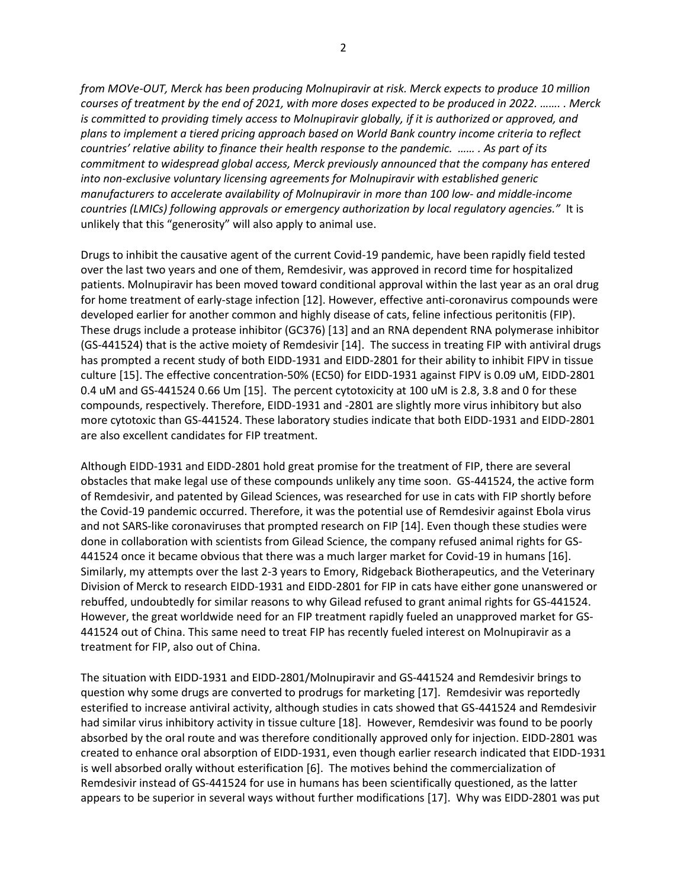*from MOVe-OUT, Merck has been producing Molnupiravir at risk. Merck expects to produce 10 million courses of treatment by the end of 2021, with more doses expected to be produced in 2022. ……. . Merck is committed to providing timely access to Molnupiravir globally, if it is authorized or approved, and plans to implement a tiered pricing approach based on World Bank country income criteria to reflect countries' relative ability to finance their health response to the pandemic. …… . As part of its commitment to widespread global access, Merck previously announced that the company has entered into non-exclusive voluntary licensing agreements for Molnupiravir with established generic manufacturers to accelerate availability of Molnupiravir in more than 100 low- and middle-income countries (LMICs) following approvals or emergency authorization by local regulatory agencies."* It is unlikely that this "generosity" will also apply to animal use.

Drugs to inhibit the causative agent of the current Covid-19 pandemic, have been rapidly field tested over the last two years and one of them, Remdesivir, was approved in record time for hospitalized patients. Molnupiravir has been moved toward conditional approval within the last year as an oral drug for home treatment of early-stage infection [12]. However, effective anti-coronavirus compounds were developed earlier for another common and highly disease of cats, feline infectious peritonitis (FIP). These drugs include a protease inhibitor (GC376) [13] and an RNA dependent RNA polymerase inhibitor (GS-441524) that is the active moiety of Remdesivir [14]. The success in treating FIP with antiviral drugs has prompted a recent study of both EIDD-1931 and EIDD-2801 for their ability to inhibit FIPV in tissue culture [15]. The effective concentration-50% (EC50) for EIDD-1931 against FIPV is 0.09 uM, EIDD-2801 0.4 uM and GS-441524 0.66 Um [15]. The percent cytotoxicity at 100 uM is 2.8, 3.8 and 0 for these compounds, respectively. Therefore, EIDD-1931 and -2801 are slightly more virus inhibitory but also more cytotoxic than GS-441524. These laboratory studies indicate that both EIDD-1931 and EIDD-2801 are also excellent candidates for FIP treatment.

Although EIDD-1931 and EIDD-2801 hold great promise for the treatment of FIP, there are several obstacles that make legal use of these compounds unlikely any time soon. GS-441524, the active form of Remdesivir, and patented by Gilead Sciences, was researched for use in cats with FIP shortly before the Covid-19 pandemic occurred. Therefore, it was the potential use of Remdesivir against Ebola virus and not SARS-like coronaviruses that prompted research on FIP [14]. Even though these studies were done in collaboration with scientists from Gilead Science, the company refused animal rights for GS-441524 once it became obvious that there was a much larger market for Covid-19 in humans [16]. Similarly, my attempts over the last 2-3 years to Emory, Ridgeback Biotherapeutics, and the Veterinary Division of Merck to research EIDD-1931 and EIDD-2801 for FIP in cats have either gone unanswered or rebuffed, undoubtedly for similar reasons to why Gilead refused to grant animal rights for GS-441524. However, the great worldwide need for an FIP treatment rapidly fueled an unapproved market for GS-441524 out of China. This same need to treat FIP has recently fueled interest on Molnupiravir as a treatment for FIP, also out of China.

The situation with EIDD-1931 and EIDD-2801/Molnupiravir and GS-441524 and Remdesivir brings to question why some drugs are converted to prodrugs for marketing [17]. Remdesivir was reportedly esterified to increase antiviral activity, although studies in cats showed that GS-441524 and Remdesivir had similar virus inhibitory activity in tissue culture [18]. However, Remdesivir was found to be poorly absorbed by the oral route and was therefore conditionally approved only for injection. EIDD-2801 was created to enhance oral absorption of EIDD-1931, even though earlier research indicated that EIDD-1931 is well absorbed orally without esterification [6]. The motives behind the commercialization of Remdesivir instead of GS-441524 for use in humans has been scientifically questioned, as the latter appears to be superior in several ways without further modifications [17]. Why was EIDD-2801 was put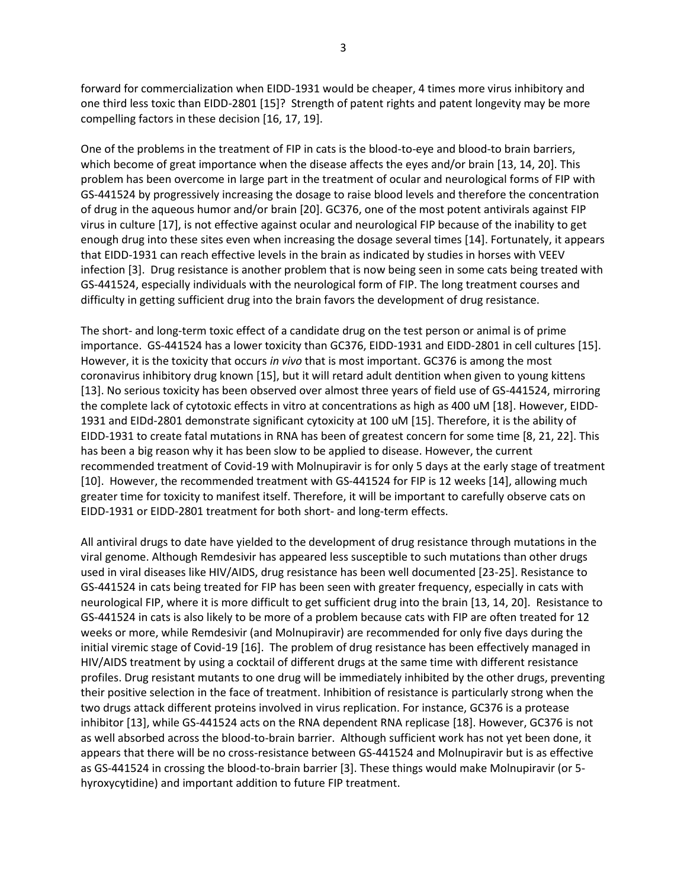forward for commercialization when EIDD-1931 would be cheaper, 4 times more virus inhibitory and one third less toxic than EIDD-2801 [15]? Strength of patent rights and patent longevity may be more compelling factors in these decision [16, 17, 19].

One of the problems in the treatment of FIP in cats is the blood-to-eye and blood-to brain barriers, which become of great importance when the disease affects the eyes and/or brain [13, 14, 20]. This problem has been overcome in large part in the treatment of ocular and neurological forms of FIP with GS-441524 by progressively increasing the dosage to raise blood levels and therefore the concentration of drug in the aqueous humor and/or brain [20]. GC376, one of the most potent antivirals against FIP virus in culture [17], is not effective against ocular and neurological FIP because of the inability to get enough drug into these sites even when increasing the dosage several times [14]. Fortunately, it appears that EIDD-1931 can reach effective levels in the brain as indicated by studies in horses with VEEV infection [3]. Drug resistance is another problem that is now being seen in some cats being treated with GS-441524, especially individuals with the neurological form of FIP. The long treatment courses and difficulty in getting sufficient drug into the brain favors the development of drug resistance.

The short- and long-term toxic effect of a candidate drug on the test person or animal is of prime importance. GS-441524 has a lower toxicity than GC376, EIDD-1931 and EIDD-2801 in cell cultures [15]. However, it is the toxicity that occurs *in vivo* that is most important. GC376 is among the most coronavirus inhibitory drug known [15], but it will retard adult dentition when given to young kittens [13]. No serious toxicity has been observed over almost three years of field use of GS-441524, mirroring the complete lack of cytotoxic effects in vitro at concentrations as high as 400 uM [18]. However, EIDD-1931 and EIDd-2801 demonstrate significant cytoxicity at 100 uM [15]. Therefore, it is the ability of EIDD-1931 to create fatal mutations in RNA has been of greatest concern for some time [8, 21, 22]. This has been a big reason why it has been slow to be applied to disease. However, the current recommended treatment of Covid-19 with Molnupiravir is for only 5 days at the early stage of treatment [10]. However, the recommended treatment with GS-441524 for FIP is 12 weeks [14], allowing much greater time for toxicity to manifest itself. Therefore, it will be important to carefully observe cats on EIDD-1931 or EIDD-2801 treatment for both short- and long-term effects.

All antiviral drugs to date have yielded to the development of drug resistance through mutations in the viral genome. Although Remdesivir has appeared less susceptible to such mutations than other drugs used in viral diseases like HIV/AIDS, drug resistance has been well documented [23-25]. Resistance to GS-441524 in cats being treated for FIP has been seen with greater frequency, especially in cats with neurological FIP, where it is more difficult to get sufficient drug into the brain [13, 14, 20]. Resistance to GS-441524 in cats is also likely to be more of a problem because cats with FIP are often treated for 12 weeks or more, while Remdesivir (and Molnupiravir) are recommended for only five days during the initial viremic stage of Covid-19 [16]. The problem of drug resistance has been effectively managed in HIV/AIDS treatment by using a cocktail of different drugs at the same time with different resistance profiles. Drug resistant mutants to one drug will be immediately inhibited by the other drugs, preventing their positive selection in the face of treatment. Inhibition of resistance is particularly strong when the two drugs attack different proteins involved in virus replication. For instance, GC376 is a protease inhibitor [13], while GS-441524 acts on the RNA dependent RNA replicase [18]. However, GC376 is not as well absorbed across the blood-to-brain barrier. Although sufficient work has not yet been done, it appears that there will be no cross-resistance between GS-441524 and Molnupiravir but is as effective as GS-441524 in crossing the blood-to-brain barrier [3]. These things would make Molnupiravir (or 5 hyroxycytidine) and important addition to future FIP treatment.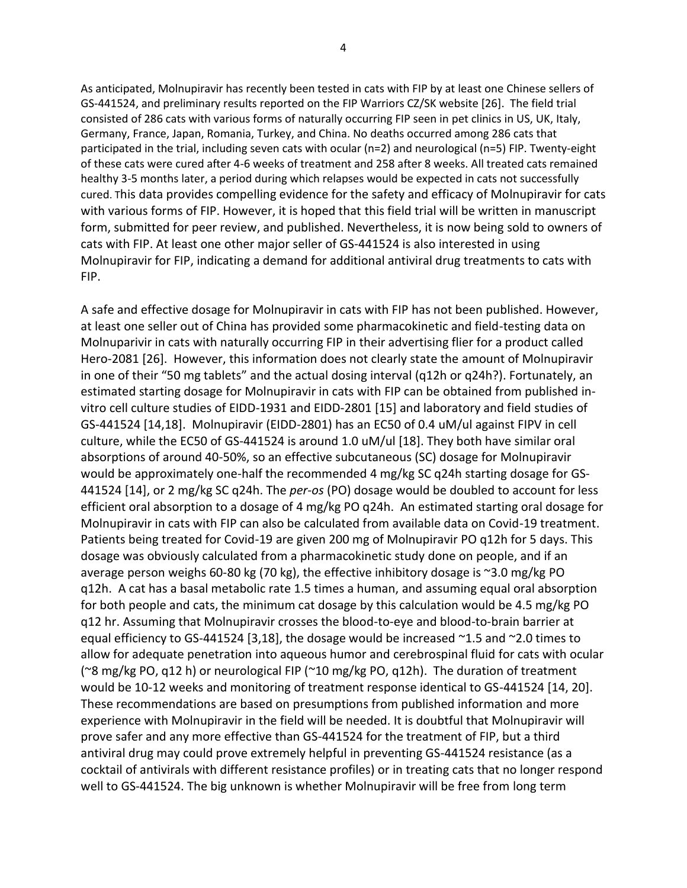As anticipated, Molnupiravir has recently been tested in cats with FIP by at least one Chinese sellers of GS-441524, and preliminary results reported on the FIP Warriors CZ/SK website [26]. The field trial consisted of 286 cats with various forms of naturally occurring FIP seen in pet clinics in US, UK, Italy, Germany, France, Japan, Romania, Turkey, and China. No deaths occurred among 286 cats that participated in the trial, including seven cats with ocular (n=2) and neurological (n=5) FIP. Twenty-eight of these cats were cured after 4-6 weeks of treatment and 258 after 8 weeks. All treated cats remained healthy 3-5 months later, a period during which relapses would be expected in cats not successfully cured. This data provides compelling evidence for the safety and efficacy of Molnupiravir for cats with various forms of FIP. However, it is hoped that this field trial will be written in manuscript form, submitted for peer review, and published. Nevertheless, it is now being sold to owners of cats with FIP. At least one other major seller of GS-441524 is also interested in using Molnupiravir for FIP, indicating a demand for additional antiviral drug treatments to cats with FIP.

A safe and effective dosage for Molnupiravir in cats with FIP has not been published. However, at least one seller out of China has provided some pharmacokinetic and field-testing data on Molnuparivir in cats with naturally occurring FIP in their advertising flier for a product called Hero-2081 [26]. However, this information does not clearly state the amount of Molnupiravir in one of their "50 mg tablets" and the actual dosing interval (q12h or q24h?). Fortunately, an estimated starting dosage for Molnupiravir in cats with FIP can be obtained from published invitro cell culture studies of EIDD-1931 and EIDD-2801 [15] and laboratory and field studies of GS-441524 [14,18]. Molnupiravir (EIDD-2801) has an EC50 of 0.4 uM/ul against FIPV in cell culture, while the EC50 of GS-441524 is around 1.0 uM/ul [18]. They both have similar oral absorptions of around 40-50%, so an effective subcutaneous (SC) dosage for Molnupiravir would be approximately one-half the recommended 4 mg/kg SC q24h starting dosage for GS-441524 [14], or 2 mg/kg SC q24h. The *per-os* (PO) dosage would be doubled to account for less efficient oral absorption to a dosage of 4 mg/kg PO q24h. An estimated starting oral dosage for Molnupiravir in cats with FIP can also be calculated from available data on Covid-19 treatment. Patients being treated for Covid-19 are given 200 mg of Molnupiravir PO q12h for 5 days. This dosage was obviously calculated from a pharmacokinetic study done on people, and if an average person weighs 60-80 kg (70 kg), the effective inhibitory dosage is ~3.0 mg/kg PO q12h. A cat has a basal metabolic rate 1.5 times a human, and assuming equal oral absorption for both people and cats, the minimum cat dosage by this calculation would be 4.5 mg/kg PO q12 hr. Assuming that Molnupiravir crosses the blood-to-eye and blood-to-brain barrier at equal efficiency to GS-441524 [3,18], the dosage would be increased  $\sim$ 1.5 and  $\sim$ 2.0 times to allow for adequate penetration into aqueous humor and cerebrospinal fluid for cats with ocular (~8 mg/kg PO, q12 h) or neurological FIP (~10 mg/kg PO, q12h). The duration of treatment would be 10-12 weeks and monitoring of treatment response identical to GS-441524 [14, 20]. These recommendations are based on presumptions from published information and more experience with Molnupiravir in the field will be needed. It is doubtful that Molnupiravir will prove safer and any more effective than GS-441524 for the treatment of FIP, but a third antiviral drug may could prove extremely helpful in preventing GS-441524 resistance (as a cocktail of antivirals with different resistance profiles) or in treating cats that no longer respond well to GS-441524. The big unknown is whether Molnupiravir will be free from long term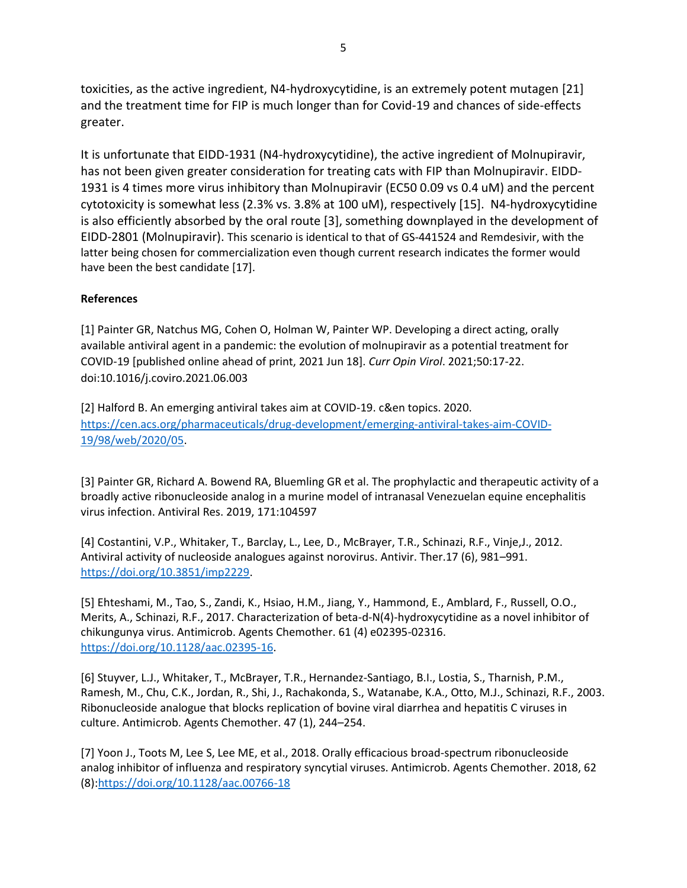toxicities, as the active ingredient, N4-hydroxycytidine, is an extremely potent mutagen [21] and the treatment time for FIP is much longer than for Covid-19 and chances of side-effects greater.

It is unfortunate that EIDD-1931 (N4-hydroxycytidine), the active ingredient of Molnupiravir, has not been given greater consideration for treating cats with FIP than Molnupiravir. EIDD-1931 is 4 times more virus inhibitory than Molnupiravir (EC50 0.09 vs 0.4 uM) and the percent cytotoxicity is somewhat less (2.3% vs. 3.8% at 100 uM), respectively [15]. N4-hydroxycytidine is also efficiently absorbed by the oral route [3], something downplayed in the development of EIDD-2801 (Molnupiravir). This scenario is identical to that of GS-441524 and Remdesivir, with the latter being chosen for commercialization even though current research indicates the former would have been the best candidate [17].

## **References**

[1] Painter GR, Natchus MG, Cohen O, Holman W, Painter WP. Developing a direct acting, orally available antiviral agent in a pandemic: the evolution of molnupiravir as a potential treatment for COVID-19 [published online ahead of print, 2021 Jun 18]. *Curr Opin Virol*. 2021;50:17-22. doi:10.1016/j.coviro.2021.06.003

[2] Halford B. An emerging antiviral takes aim at COVID-19. c&en topics. 2020. [https://cen.acs.org/pharmaceuticals/drug-development/emerging-antiviral-takes-aim-COVID-](https://cen.acs.org/pharmaceuticals/drug-development/emerging-antiviral-takes-aim-COVID-19/98/web/2020/05)[19/98/web/2020/05.](https://cen.acs.org/pharmaceuticals/drug-development/emerging-antiviral-takes-aim-COVID-19/98/web/2020/05)

[3] Painter GR, Richard A. Bowend RA, Bluemling GR et al. The prophylactic and therapeutic activity of a broadly active ribonucleoside analog in a murine model of intranasal Venezuelan equine encephalitis virus infection. Antiviral Res. 2019, 171:104597

[4] Costantini, V.P., Whitaker, T., Barclay, L., Lee, D., McBrayer, T.R., Schinazi, R.F., Vinje,J., 2012. Antiviral activity of nucleoside analogues against norovirus. Antivir. Ther.17 (6), 981–991. [https://doi.org/10.3851/imp2229.](https://doi.org/10.3851/imp2229)

[5] Ehteshami, M., Tao, S., Zandi, K., Hsiao, H.M., Jiang, Y., Hammond, E., Amblard, F., Russell, O.O., Merits, A., Schinazi, R.F., 2017. Characterization of beta-d-N(4)-hydroxycytidine as a novel inhibitor of chikungunya virus. Antimicrob. Agents Chemother. 61 (4) e02395-02316. [https://doi.org/10.1128/aac.02395-16.](https://doi.org/10.1128/aac.02395-16)

[6] Stuyver, L.J., Whitaker, T., McBrayer, T.R., Hernandez-Santiago, B.I., Lostia, S., Tharnish, P.M., Ramesh, M., Chu, C.K., Jordan, R., Shi, J., Rachakonda, S., Watanabe, K.A., Otto, M.J., Schinazi, R.F., 2003. Ribonucleoside analogue that blocks replication of bovine viral diarrhea and hepatitis C viruses in culture. Antimicrob. Agents Chemother. 47 (1), 244–254.

[7] Yoon J., Toots M, Lee S, Lee ME, et al., 2018. Orally efficacious broad-spectrum ribonucleoside analog inhibitor of influenza and respiratory syncytial viruses. Antimicrob. Agents Chemother. 2018, 62 (8)[:https://doi.org/10.1128/aac.00766-18](https://doi.org/10.1128/aac.00766-18)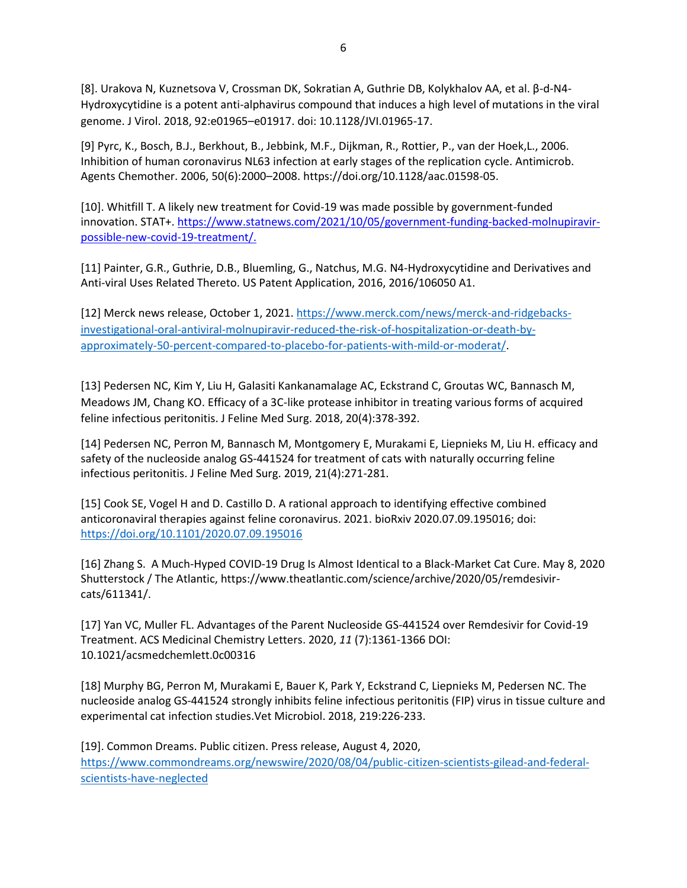[8]. Urakova N, Kuznetsova V, Crossman DK, Sokratian A, Guthrie DB, Kolykhalov AA, et al. β-d-N4- Hydroxycytidine is a potent anti-alphavirus compound that induces a high level of mutations in the viral genome. J Virol. 2018, 92:e01965–e01917. doi: 10.1128/JVI.01965-17.

[9] Pyrc, K., Bosch, B.J., Berkhout, B., Jebbink, M.F., Dijkman, R., Rottier, P., van der Hoek,L., 2006. Inhibition of human coronavirus NL63 infection at early stages of the replication cycle. Antimicrob. Agents Chemother. 2006, 50(6):2000–2008. https://doi.org/10.1128/aac.01598-05.

[10]. Whitfill T. A likely new treatment for Covid-19 was made possible by government-funded innovation. STAT+. https://www.statnews.com/2021/10/05/government-funding-backed-molnupiravirpossible-new-covid-19-treatment/.

[11] Painter, G.R., Guthrie, D.B., Bluemling, G., Natchus, M.G. N4-Hydroxycytidine and Derivatives and Anti-viral Uses Related Thereto. US Patent Application, 2016, 2016/106050 A1.

[12] Merck news release, October 1, 2021. [https://www.merck.com/news/merck-and-ridgebacks](https://www.merck.com/news/merck-and-ridgebacks-investigational-oral-antiviral-molnupiravir-reduced-the-risk-of-hospitalization-or-death-by-approximately-50-percent-compared-to-placebo-for-patients-with-mild-or-moderat/)[investigational-oral-antiviral-molnupiravir-reduced-the-risk-of-hospitalization-or-death-by](https://www.merck.com/news/merck-and-ridgebacks-investigational-oral-antiviral-molnupiravir-reduced-the-risk-of-hospitalization-or-death-by-approximately-50-percent-compared-to-placebo-for-patients-with-mild-or-moderat/)[approximately-50-percent-compared-to-placebo-for-patients-with-mild-or-moderat/.](https://www.merck.com/news/merck-and-ridgebacks-investigational-oral-antiviral-molnupiravir-reduced-the-risk-of-hospitalization-or-death-by-approximately-50-percent-compared-to-placebo-for-patients-with-mild-or-moderat/)

[13] Pedersen NC, Kim Y, Liu H, Galasiti Kankanamalage AC, Eckstrand C, Groutas WC, Bannasch M, Meadows JM, Chang KO. Efficacy of a 3C-like protease inhibitor in treating various forms of acquired feline infectious peritonitis. J Feline Med Surg. 2018, 20(4):378-392.

[14] Pedersen NC, Perron M, Bannasch M, Montgomery E, Murakami E, Liepnieks M, Liu H. efficacy and safety of the nucleoside analog GS-441524 for treatment of cats with naturally occurring feline infectious peritonitis. J Feline Med Surg. 2019, 21(4):271-281.

[15] Cook SE, Vogel H and D. Castillo D. A rational approach to identifying effective combined anticoronaviral therapies against feline coronavirus. 2021. bioRxiv 2020.07.09.195016; doi: <https://doi.org/10.1101/2020.07.09.195016>

[16] Zhang S. A Much-Hyped COVID-19 Drug Is Almost Identical to a Black-Market Cat Cure. May 8, 2020 Shutterstock / The Atlantic, https://www.theatlantic.com/science/archive/2020/05/remdesivircats/611341/.

[17] Yan VC, Muller FL. Advantages of the Parent Nucleoside GS-441524 over Remdesivir for Covid-19 Treatment. ACS Medicinal Chemistry Letters. 2020, *11* (7):1361-1366 DOI: 10.1021/acsmedchemlett.0c00316

[18] Murphy BG, Perron M, Murakami E, Bauer K, Park Y, Eckstrand C, Liepnieks M, Pedersen NC. The nucleoside analog GS-441524 strongly inhibits feline infectious peritonitis (FIP) virus in tissue culture and experimental cat infection studies.Vet Microbiol. 2018, 219:226-233.

[19]. Common Dreams. Public citizen. Press release, August 4, 2020, [https://www.commondreams.org/newswire/2020/08/04/public-citizen-scientists-gilead-and-federal](https://www.commondreams.org/newswire/2020/08/04/public-citizen-scientists-gilead-and-federal-scientists-have-neglected)[scientists-have-neglected](https://www.commondreams.org/newswire/2020/08/04/public-citizen-scientists-gilead-and-federal-scientists-have-neglected)